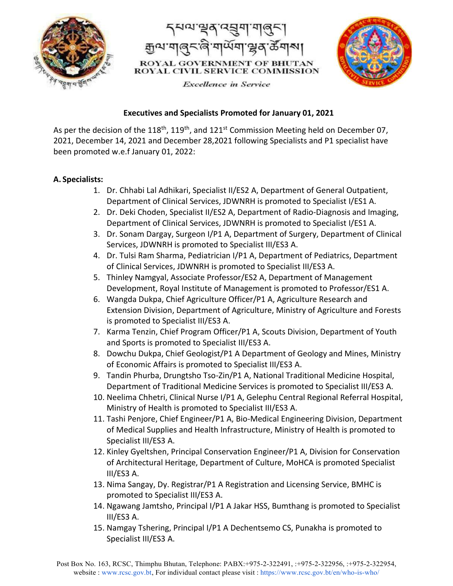





**Excellence** in Service

## **Executives and Specialists Promoted for January 01, 2021**

As per the decision of the 118<sup>th</sup>, 119<sup>th</sup>, and 121<sup>st</sup> Commission Meeting held on December 07, 2021, December 14, 2021 and December 28,2021 following Specialists and P1 specialist have been promoted w.e.f January 01, 2022:

## **A. Specialists:**

- 1. Dr. Chhabi Lal Adhikari, Specialist II/ES2 A, Department of General Outpatient, Department of Clinical Services, JDWNRH is promoted to Specialist I/ES1 A.
- 2. Dr. Deki Choden, Specialist II/ES2 A, Department of Radio-Diagnosis and Imaging, Department of Clinical Services, JDWNRH is promoted to Specialist I/ES1 A.
- 3. Dr. Sonam Dargay, Surgeon I/P1 A, Department of Surgery, Department of Clinical Services, JDWNRH is promoted to Specialist III/ES3 A.
- 4. Dr. Tulsi Ram Sharma, Pediatrician I/P1 A, Department of Pediatrics, Department of Clinical Services, JDWNRH is promoted to Specialist III/ES3 A.
- 5. Thinley Namgyal, Associate Professor/ES2 A, Department of Management Development, Royal Institute of Management is promoted to Professor/ES1 A.
- 6. Wangda Dukpa, Chief Agriculture Officer/P1 A, Agriculture Research and Extension Division, Department of Agriculture, Ministry of Agriculture and Forests is promoted to Specialist III/ES3 A.
- 7. Karma Tenzin, Chief Program Officer/P1 A, Scouts Division, Department of Youth and Sports is promoted to Specialist III/ES3 A.
- 8. Dowchu Dukpa, Chief Geologist/P1 A Department of Geology and Mines, Ministry of Economic Affairs is promoted to Specialist III/ES3 A.
- 9. Tandin Phurba, Drungtsho Tso-Zin/P1 A, National Traditional Medicine Hospital, Department of Traditional Medicine Services is promoted to Specialist III/ES3 A.
- 10. Neelima Chhetri, Clinical Nurse I/P1 A, Gelephu Central Regional Referral Hospital, Ministry of Health is promoted to Specialist III/ES3 A.
- 11. Tashi Penjore, Chief Engineer/P1 A, Bio-Medical Engineering Division, Department of Medical Supplies and Health Infrastructure, Ministry of Health is promoted to Specialist III/ES3 A.
- 12. Kinley Gyeltshen, Principal Conservation Engineer/P1 A, Division for Conservation of Architectural Heritage, Department of Culture, MoHCA is promoted Specialist III/ES3 A.
- 13. Nima Sangay, Dy. Registrar/P1 A Registration and Licensing Service, BMHC is promoted to Specialist III/ES3 A.
- 14. Ngawang Jamtsho, Principal I/P1 A Jakar HSS, Bumthang is promoted to Specialist III/ES3 A.
- 15. Namgay Tshering, Principal I/P1 A Dechentsemo CS, Punakha is promoted to Specialist III/ES3 A.